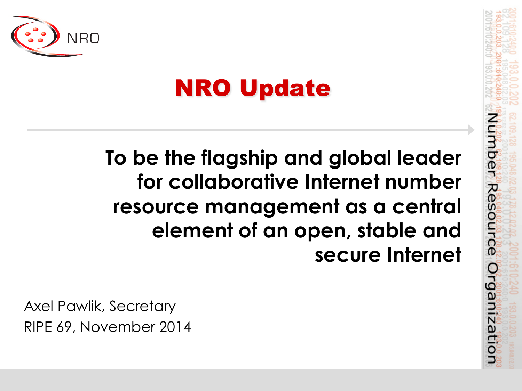

## NRO Update

**To be the flagship and global leader for collaborative Internet number resource management as a central element of an open, stable and secure Internet**  mber Resource

Organizati

Axel Pawlik, Secretary RIPE 69, November 2014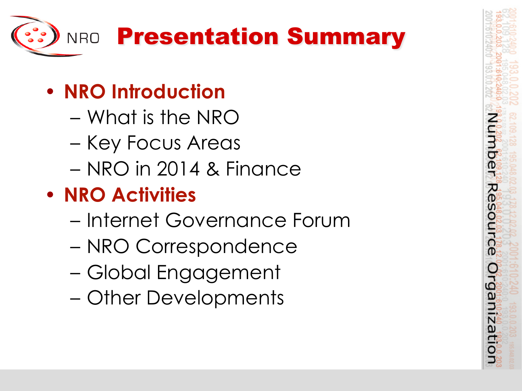

- **NRO Introduction** 
	- What is the NRO
	- Key Focus Areas
	- NRO in 2014 & Finance
- **NRO Activities** 
	- Internet Governance Forum
	- NRO Correspondence
	- Global Engagement
	- Other Developments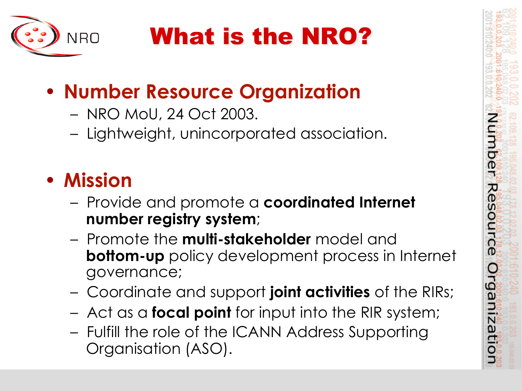

# What is the NRO?

### • **Number Resource Organization**

- NRO MoU, 24 Oct 2003.
- Lightweight, unincorporated association.

#### • **Mission**

- Provide and promote a **coordinated Internet number registry system**;
- Promote the **multi-stakeholder** model and **bottom-up** policy development process in Internet governance;

mber

Resource

Organizatio

- Coordinate and support **joint activities** of the RIRs;
- Act as a **focal point** for input into the RIR system;
- Fulfill the role of the ICANN Address Supporting Organisation (ASO).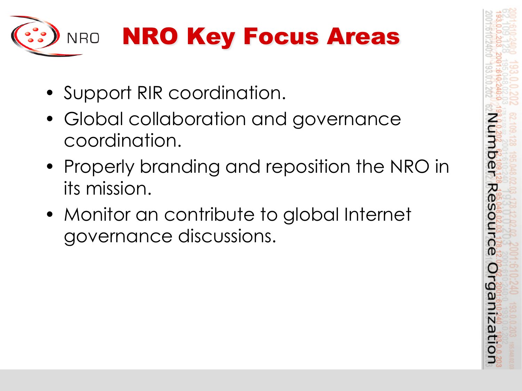

- Support RIR coordination.
- Global collaboration and governance coordination.
- Properly branding and reposition the NRO in its mission.

mber

Resource

Organizati

• Monitor an contribute to global Internet governance discussions.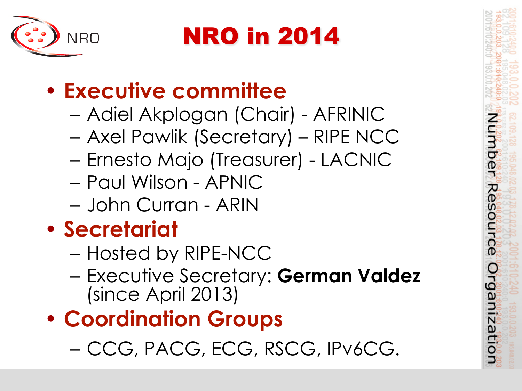

NRO in 2014

بر<br>ه

D

rgan

N

### • **Executive committee**

- Adiel Akplogan (Chair) AFRINIC
- Axel Pawlik (Secretary) RIPE NCC
- Ernesto Majo (Treasurer) LACNIC
- Paul Wilson APNIC
- John Curran ARIN

### • **Secretariat**

- Hosted by RIPE-NCC
- Executive Secretary: **German Valdez**  (since April 2013)
- **Coordination Groups** 
	- CCG, PACG, ECG, RSCG, IPv6CG.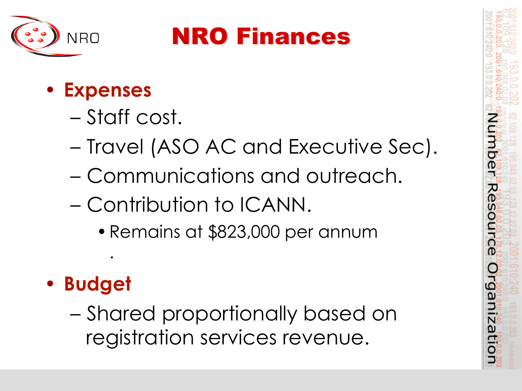

### NRO Finances

#### • **Expenses**

- Staff cost.
- Travel (ASO AC and Executive Sec).
- Communications and outreach.
- Contribution to ICANN.
	- •Remains at \$823,000 per annum

o

Orga

• **Budget** 

.

– Shared proportionally based on registration services revenue.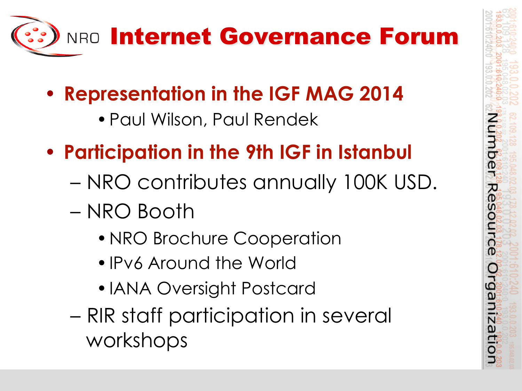

- **Representation in the IGF MAG 2014** 
	- •Paul Wilson, Paul Rendek
- **Participation in the 9th IGF in Istanbul** 
	- NRO contributes annually 100K USD.

mber

Resourc

 $\mathbf{D}$ 

Orgal

nizatic

- NRO Booth
	- NRO Brochure Cooperation
	- •IPv6 Around the World
	- •IANA Oversight Postcard
- RIR staff participation in several workshops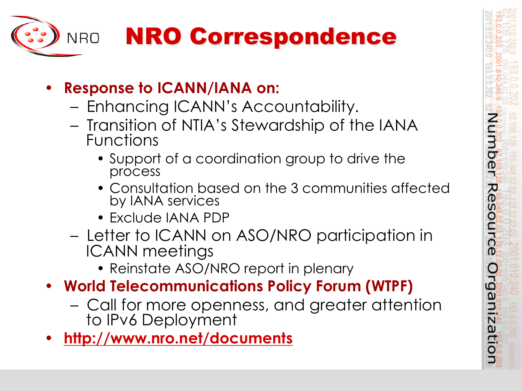

- **Response to ICANN/IANA on:** 
	- Enhancing ICANN's Accountability.
	- Transition of NTIA's Stewardship of the IANA Functions
		- Support of a coordination group to drive the process
		- Consultation based on the 3 communities affected by IANA services

Imber

Resourc

 $\mathbf{D}$ 

O

rganizatic

- Exclude IANA PDP
- Letter to ICANN on ASO/NRO participation in ICANN meetings
	- Reinstate ASO/NRO report in plenary
- **World Telecommunications Policy Forum (WTPF)** 
	- Call for more openness, and greater attention to IPv6 Deployment
- **http://www.nro.net/documents**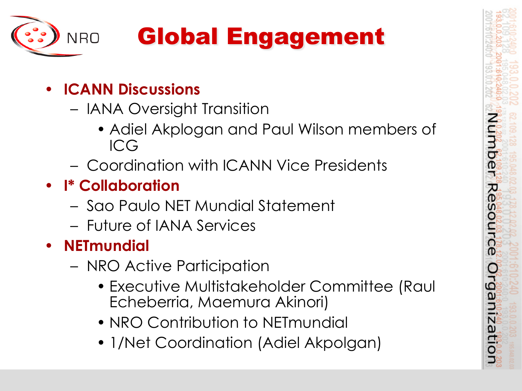

# Global Engagement

- **ICANN Discussions** 
	- IANA Oversight Transition
		- Adiel Akplogan and Paul Wilson members of ICG

Imber

R<br>O

source

Organiza

- Coordination with ICANN Vice Presidents
- **I\* Collaboration** 
	- Sao Paulo NET Mundial Statement
	- Future of IANA Services
- **NETmundial**
	- NRO Active Participation
		- Executive Multistakeholder Committee (Raul Echeberria, Maemura Akinori)
		- NRO Contribution to NETmundial
		- 1/Net Coordination (Adiel Akpolgan)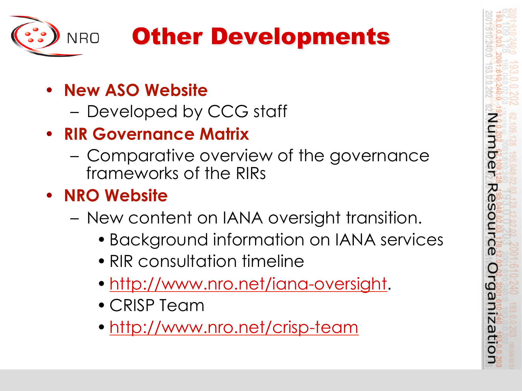

## Other Developments

- **New ASO Website** 
	- Developed by CCG staff
- **RIR Governance Matrix** 
	- Comparative overview of the governance frameworks of the RIRs
- **NRO Website** 
	- New content on IANA oversight transition.
		- Background information on IANA services

mber

Re

Irce

rgani

N ω

- RIR consultation timeline
- http://www.nro.net/iana-oversight.
- CRISP Team
- http://www.nro.net/crisp-team